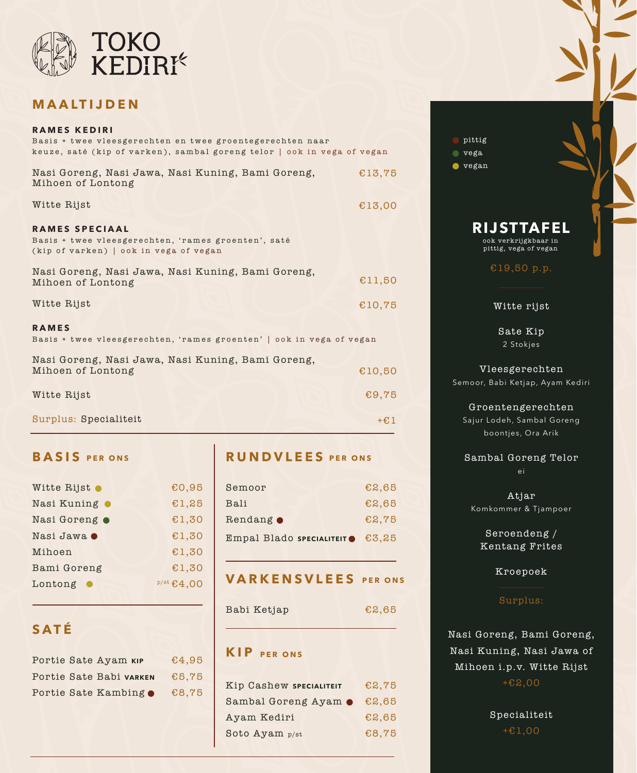

# **MAALTIJDEN**

| <b>RAMES KEDIRI</b>                                                     |        |
|-------------------------------------------------------------------------|--------|
| Basis + twee vleesgerechten en twee groentegerechten naar               |        |
| keuze, saté (kip of varken), sambal goreng telor   ook in vega of vegan |        |
| Nasi Goreng, Nasi Jawa, Nasi Kuning, Bami Goreng,<br>Mihoen of Lontong  | €13,75 |
| Witte Rijst                                                             | €13,00 |
| <b>RAMES SPECIAAL</b>                                                   |        |
| Basis + twee vleesgerechten, 'rames groenten', saté                     |        |
| (kip of varken)   ook in vega of vegan                                  |        |
| Nasi Goreng, Nasi Jawa, Nasi Kuning, Bami Goreng,                       |        |
| Mihoen of Lontong                                                       | €11,50 |
|                                                                         |        |
| Witte Rijst                                                             | €10,75 |
|                                                                         |        |
| <b>RAMES</b>                                                            |        |
| Basis + twee vleesgerechten, 'rames groenten'   ook in vega of vegan    |        |
| Nasi Goreng, Nasi Jawa, Nasi Kuning, Bami Goreng,                       |        |
| Mihoen of Lontong                                                       | €10,50 |
|                                                                         |        |
| Witte Rijst                                                             | £9,75  |
|                                                                         |        |
| Surplus: Specialiteit                                                   | $+E1$  |

### **BASIS** PER ONS

| Witte Rijst $\bullet$ | €0,95     |
|-----------------------|-----------|
| Nasi Kuning $\bullet$ | £1,25     |
| Nasi Goreng $\bullet$ | £1,30     |
| Nasi Jawa $\bullet$   | €1,30     |
| Mihoen                | €1,30     |
| Bami Goreng           | €1,30     |
| Lontong               | p/st64,00 |

# **SATÉ**

|  | Portie Sate Ayam KIP    | €4,95 |
|--|-------------------------|-------|
|  | Portie Sate Babi varken | €5,75 |
|  | Portie Sate Kambing ●   | €8,75 |

### **RUNDVLEES PER ONS PER ONS**

| Semoor                                   | €2,65 |
|------------------------------------------|-------|
| Bali                                     | €2,65 |
| Rendang $\bullet$                        | E2,75 |
| Empal Blado SPECIALITEIT $\bullet$ £3,25 |       |

### **VARKENSVLEES PER ONS**

| Babi Ketjap | €2,65 |
|-------------|-------|
|             |       |

### **KIP PER ONS**

| Kip Cashew SPECIALITEIT | E2,75 |
|-------------------------|-------|
| Sambal Goreng Ayam ●    | €2,65 |
| Ayam Kediri             | €2,65 |
| Soto Ayam p/st          | €8,75 |

**O** pittig vega  $\bullet$  vegan

# **RIJSTTAFEL** ook verkrijgkbaar in pittig, vega of vegan

#### Witte rijst

Sate Kip 2 Stokjes

Vleesgerechten Semoor, Babi Ketjap, Ayam Kediri

Groentengerechten Sajur Lodeh, Sambal Goreng boontjes, Ora Arik

Sambal Goreng Telor ei

Atjar Komkommer & Tjampoer

Seroendeng / Kentang Frites

Kroepoek

#### Surplus:

Nasi Goreng, Bami Goreng, Nasi Kuning, Nasi Jawa of Mihoen i.p.v. Witte Rijst +€2,00

> Specialiteit +€1,00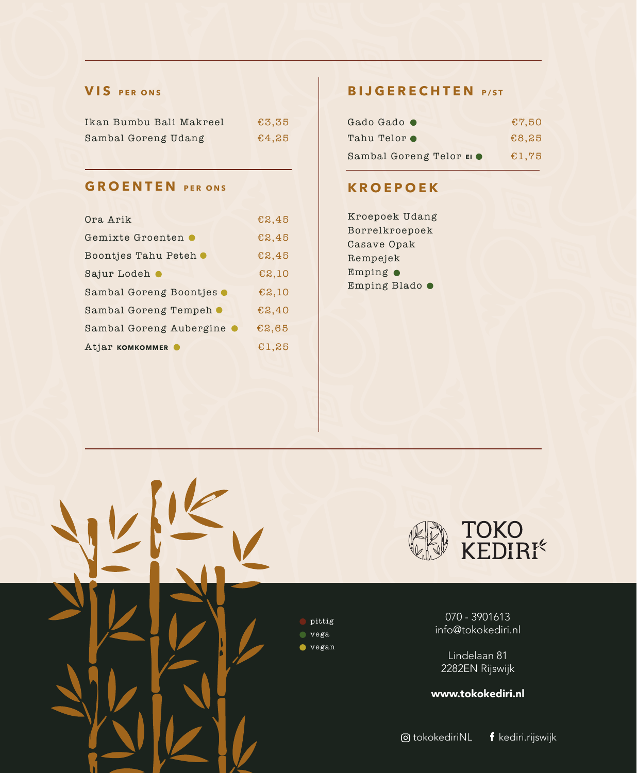## **VIS PER ONS**

| Ikan Bumbu Bali Makreel | €3,35 |
|-------------------------|-------|
| Sambal Goreng Udang     | €4,25 |

### **GROENTEN PER ONS**

| Ora Arik                      | E2,45    |
|-------------------------------|----------|
| Gemixte Groenten O            | €2,45    |
| Boontjes Tahu Peteh $\bullet$ | E2,45    |
| Sajur Lodeh .                 | € $2,10$ |
| Sambal Goreng Boontjes .      | E2,10    |
| Sambal Goreng Tempeh ●        | €2,40    |
| Sambal Goreng Aubergine O     | €2,65    |
| Atjar KOMKOMMER               | €1,25    |

# **BIJGERECHTEN P/ST**

| Gado Gado $\bullet$      | €7,50 |
|--------------------------|-------|
| Tahu Telor $\bullet$     | €8,25 |
| Sambal Goreng Telor El ● | €1,75 |

### **KROEPOEK**

Kroepoek Udang Borrelkroepoek Casave Opak Rempejek Emping  $\bullet$ Emping Blado

**O** pittig vega  $\bullet$  vegan



070 - 3901613 info@tokokediri.nl

Lindelaan 81 2282EN Rijswijk

www.tokokediri.nl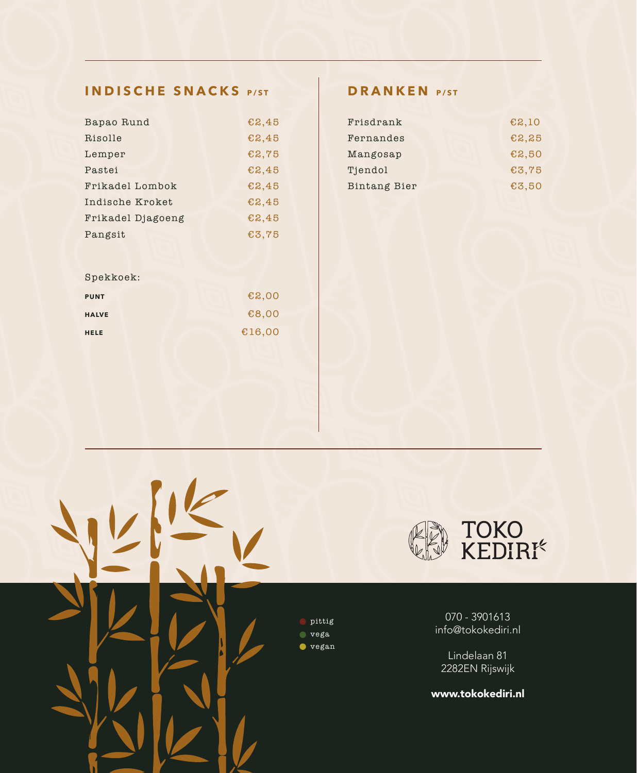# **INDISCHE SNACKS P/ST**

| E2,45 |
|-------|
| E2,45 |
| E2,75 |
| E2,45 |
| €2,45 |
| E2,45 |
| €2,45 |
| €3,75 |
|       |

### Spekkoek:

| <b>PUNT</b>  | €2,00  |
|--------------|--------|
| <b>HALVE</b> | €8,00  |
| <b>HELE</b>  | €16,00 |

# **DRANKEN P/ST**

| Frisdrank    | E2,10 |
|--------------|-------|
| Fernandes    | E2,25 |
| Mangosap     | E2,50 |
| Tiendol      | E3,75 |
| Bintang Bier | €3,50 |



070 - 3901613 info@tokokediri.nl

**O** pittig vega  $\bullet$  vegan

Lindelaan 81 2282EN Rijswijk

www.tokokediri.nl